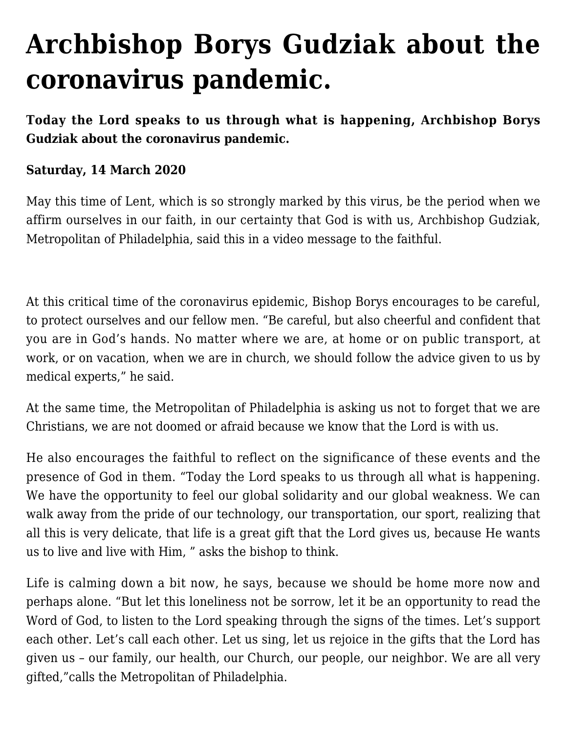## **[Archbishop Borys Gudziak about the](https://ukrarcheparchy.us/archeparchy-news/archbishop-borys-gudziak-about-the-coronavirus-pandemic) [coronavirus pandemic.](https://ukrarcheparchy.us/archeparchy-news/archbishop-borys-gudziak-about-the-coronavirus-pandemic)**

**Today the Lord speaks to us through what is happening, Archbishop Borys Gudziak about the coronavirus pandemic.**

## **Saturday, 14 March 2020**

May this time of Lent, which is so strongly marked by this virus, be the period when we affirm ourselves in our faith, in our certainty that God is with us, Archbishop Gudziak, Metropolitan of Philadelphia, said this in a video message to the faithful.

At this critical time of the coronavirus epidemic, Bishop Borys encourages to be careful, to protect ourselves and our fellow men. "Be careful, but also cheerful and confident that you are in God's hands. No matter where we are, at home or on public transport, at work, or on vacation, when we are in church, we should follow the advice given to us by medical experts," he said.

At the same time, the Metropolitan of Philadelphia is asking us not to forget that we are Christians, we are not doomed or afraid because we know that the Lord is with us.

He also encourages the faithful to reflect on the significance of these events and the presence of God in them. "Today the Lord speaks to us through all what is happening. We have the opportunity to feel our global solidarity and our global weakness. We can walk away from the pride of our technology, our transportation, our sport, realizing that all this is very delicate, that life is a great gift that the Lord gives us, because He wants us to live and live with Him, " asks the bishop to think.

Life is calming down a bit now, he says, because we should be home more now and perhaps alone. "But let this loneliness not be sorrow, let it be an opportunity to read the Word of God, to listen to the Lord speaking through the signs of the times. Let's support each other. Let's call each other. Let us sing, let us rejoice in the gifts that the Lord has given us – our family, our health, our Church, our people, our neighbor. We are all very gifted,"calls the Metropolitan of Philadelphia.